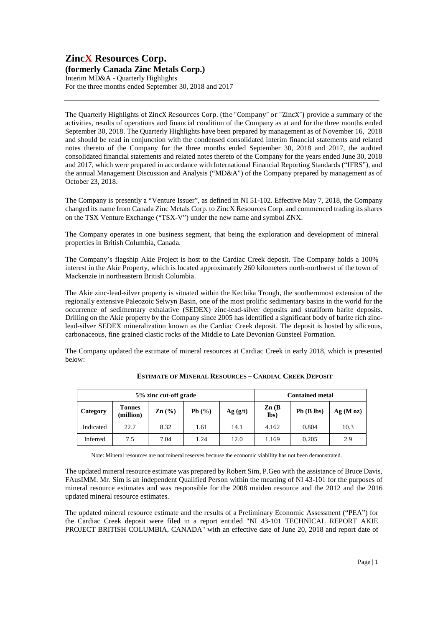Interim MD&A - Quarterly Highlights For the three months ended September 30, 2018 and 2017

The Quarterly Highlights of ZincX Resources Corp. (the "Company" or "ZincX") provide a summary of the activities, results of operations and financial condition of the Company as at and for the three months ended September 30, 2018. The Quarterly Highlights have been prepared by management as of November 16, 2018 and should be read in conjunction with the condensed consolidated interim financial statements and related notes thereto of the Company for the three months ended September 30, 2018 and 2017, the audited consolidated financial statements and related notes thereto of the Company for the years ended June 30, 2018 and 2017, which were prepared in accordance with International Financial Reporting Standards ("IFRS"), and the annual Management Discussion and Analysis ("MD&A") of the Company prepared by management as of October 23, 2018.

The Company is presently a "Venture Issuer", as defined in NI 51-102. Effective May 7, 2018, the Company changed its name from Canada Zinc Metals Corp. to ZincX Resources Corp. and commenced trading its shares on the TSX Venture Exchange ("TSX-V") under the new name and symbol ZNX.

The Company operates in one business segment, that being the exploration and development of mineral properties in British Columbia, Canada.

The Company's flagship Akie Project is host to the Cardiac Creek deposit. The Company holds a 100% interest in the Akie Property, which is located approximately 260 kilometers north-northwest of the town of Mackenzie in northeastern British Columbia.

The Akie zinc-lead-silver property is situated within the Kechika Trough, the southernmost extension of the regionally extensive Paleozoic Selwyn Basin, one of the most prolific sedimentary basins in the world for the occurrence of sedimentary exhalative (SEDEX) zinc-lead-silver deposits and stratiform barite deposits. Drilling on the Akie property by the Company since 2005 has identified a significant body of barite rich zinclead-silver SEDEX mineralization known as the Cardiac Creek deposit. The deposit is hosted by siliceous, carbonaceous, fine grained clastic rocks of the Middle to Late Devonian Gunsteel Formation.

The Company updated the estimate of mineral resources at Cardiac Creek in early 2018, which is presented below:

| 5% zinc cut-off grade |                            |                                        |       |          | <b>Contained metal</b>    |                 |         |
|-----------------------|----------------------------|----------------------------------------|-------|----------|---------------------------|-----------------|---------|
| Category              | <b>Tonnes</b><br>(million) | $\text{Zn}$ $\left(\frac{0}{0}\right)$ | Pb(%) | Ag( g/t) | $\mathbf{Zn}$ (B)<br>lbs) | $Pb$ ( $B$ lbs) | Ag(Moz) |
| Indicated             | 22.7                       | 8.32                                   | 1.61  | 14.1     | 4.162                     | 0.804           | 10.3    |
| Inferred              | 7.5                        | 7.04                                   | 1.24  | 12.0     | 1.169                     | 0.205           | 2.9     |

**ESTIMATE OF MINERAL RESOURCES – CARDIAC CREEK DEPOSIT**

Note: Mineral resources are not mineral reserves because the economic viability has not been demonstrated.

The updated mineral resource estimate was prepared by Robert Sim, P.Geo with the assistance of Bruce Davis, FAusIMM. Mr. Sim is an independent Qualified Person within the meaning of NI 43-101 for the purposes of mineral resource estimates and was responsible for the 2008 maiden resource and the 2012 and the 2016 updated mineral resource estimates.

The updated mineral resource estimate and the results of a Preliminary Economic Assessment ("PEA") for the Cardiac Creek deposit were filed in a report entitled "NI 43-101 TECHNICAL REPORT AKIE PROJECT BRITISH COLUMBIA, CANADA" with an effective date of June 20, 2018 and report date of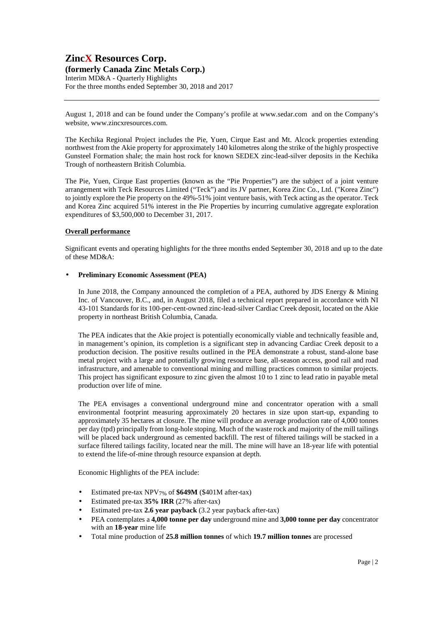Interim MD&A - Quarterly Highlights For the three months ended September 30, 2018 and 2017

August 1, 2018 and can be found under the Company's profile at www.sedar.com and on the Company's website, www.zincxresources.com.

The Kechika Regional Project includes the Pie, Yuen, Cirque East and Mt. Alcock properties extending northwest from the Akie property for approximately 140 kilometres along the strike of the highly prospective Gunsteel Formation shale; the main host rock for known SEDEX zinc-lead-silver deposits in the Kechika Trough of northeastern British Columbia.

The Pie, Yuen, Cirque East properties (known as the "Pie Properties") are the subject of a joint venture arrangement with Teck Resources Limited ("Teck") and its JV partner, Korea Zinc Co., Ltd. ("Korea Zinc") to jointly explore the Pie property on the 49%-51% joint venture basis, with Teck acting as the operator. Teck and Korea Zinc acquired 51% interest in the Pie Properties by incurring cumulative aggregate exploration expenditures of \$3,500,000 to December 31, 2017.

#### **Overall performance**

Significant events and operating highlights for the three months ended September 30, 2018 and up to the date of these MD&A:

#### • **Preliminary Economic Assessment (PEA)**

In June 2018, the Company announced the completion of a PEA, authored by JDS Energy & Mining Inc. of Vancouver, B.C., and, in August 2018, filed a technical report prepared in accordance with NI 43-101 Standards for its 100-per-cent-owned zinc-lead-silver Cardiac Creek deposit, located on the Akie property in northeast British Columbia, Canada.

The PEA indicates that the Akie project is potentially economically viable and technically feasible and, in management's opinion, its completion is a significant step in advancing Cardiac Creek deposit to a production decision. The positive results outlined in the PEA demonstrate a robust, stand-alone base metal project with a large and potentially growing resource base, all-season access, good rail and road infrastructure, and amenable to conventional mining and milling practices common to similar projects. This project has significant exposure to zinc given the almost 10 to 1 zinc to lead ratio in payable metal production over life of mine.

The PEA envisages a conventional underground mine and concentrator operation with a small environmental footprint measuring approximately 20 hectares in size upon start-up, expanding to approximately 35 hectares at closure. The mine will produce an average production rate of 4,000 tonnes per day (tpd) principally from long-hole stoping. Much of the waste rock and majority of the mill tailings will be placed back underground as cemented backfill. The rest of filtered tailings will be stacked in a surface filtered tailings facility, located near the mill. The mine will have an 18-year life with potential to extend the life-of-mine through resource expansion at depth.

Economic Highlights of the PEA include:

- Estimated pre-tax NPV7% of **\$649M** (\$401M after-tax)
- Estimated pre-tax **35% IRR** (27% after-tax)
- Estimated pre-tax **2.6 year payback** (3.2 year payback after-tax)
- PEA contemplates a **4,000 tonne per day** underground mine and **3,000 tonne per day** concentrator with an **18-year** mine life
- Total mine production of **25.8 million tonnes** of which **19.7 million tonnes** are processed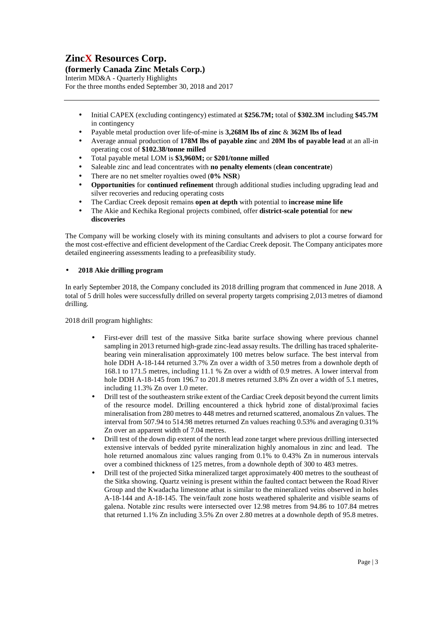# **ZincX Resources Corp.**

**(formerly Canada Zinc Metals Corp.)** 

Interim MD&A - Quarterly Highlights For the three months ended September 30, 2018 and 2017

- Initial CAPEX (excluding contingency) estimated at **\$256.7M;** total of **\$302.3M** including **\$45.7M** in contingency
- Payable metal production over life-of-mine is **3,268M lbs of zinc** & **362M lbs of lead**
- Average annual production of **178M lbs of payable zinc** and **20M lbs of payable lead** at an all-in operating cost of **\$102.38/tonne milled**
- Total payable metal LOM is **\$3,960M;** or **\$201/tonne milled**
- Saleable zinc and lead concentrates with **no penalty elements** (**clean concentrate**)
- There are no net smelter royalties owed (**0% NSR**)
- **Opportunities** for **continued refinement** through additional studies including upgrading lead and silver recoveries and reducing operating costs
- The Cardiac Creek deposit remains **open at depth** with potential to **increase mine life**
- The Akie and Kechika Regional projects combined, offer **district-scale potential** for **new discoveries**

The Company will be working closely with its mining consultants and advisers to plot a course forward for the most cost-effective and efficient development of the Cardiac Creek deposit. The Company anticipates more detailed engineering assessments leading to a prefeasibility study.

## • **2018 Akie drilling program**

In early September 2018, the Company concluded its 2018 drilling program that commenced in June 2018. A total of 5 drill holes were successfully drilled on several property targets comprising 2,013 metres of diamond drilling.

2018 drill program highlights:

- First-ever drill test of the massive Sitka barite surface showing where previous channel sampling in 2013 returned high-grade zinc-lead assay results. The drilling has traced sphaleritebearing vein mineralisation approximately 100 metres below surface. The best interval from hole DDH A-18-144 returned 3.7% Zn over a width of 3.50 metres from a downhole depth of 168.1 to 171.5 metres, including 11.1 % Zn over a width of 0.9 metres. A lower interval from hole DDH A-18-145 from 196.7 to 201.8 metres returned 3.8% Zn over a width of 5.1 metres, including 11.3% Zn over 1.0 meter.
- Drill test of the southeastern strike extent of the Cardiac Creek deposit beyond the current limits of the resource model. Drilling encountered a thick hybrid zone of distal/proximal facies mineralisation from 280 metres to 448 metres and returned scattered, anomalous Zn values. The interval from 507.94 to 514.98 metres returned Zn values reaching 0.53% and averaging 0.31% Zn over an apparent width of 7.04 metres.
- Drill test of the down dip extent of the north lead zone target where previous drilling intersected extensive intervals of bedded pyrite mineralization highly anomalous in zinc and lead. The hole returned anomalous zinc values ranging from 0.1% to 0.43% Zn in numerous intervals over a combined thickness of 125 metres, from a downhole depth of 300 to 483 metres.
- Drill test of the projected Sitka mineralized target approximately 400 metres to the southeast of the Sitka showing. Quartz veining is present within the faulted contact between the Road River Group and the Kwadacha limestone athat is similar to the mineralized veins observed in holes A-18-144 and A-18-145. The vein/fault zone hosts weathered sphalerite and visible seams of galena. Notable zinc results were intersected over 12.98 metres from 94.86 to 107.84 metres that returned 1.1% Zn including 3.5% Zn over 2.80 metres at a downhole depth of 95.8 metres.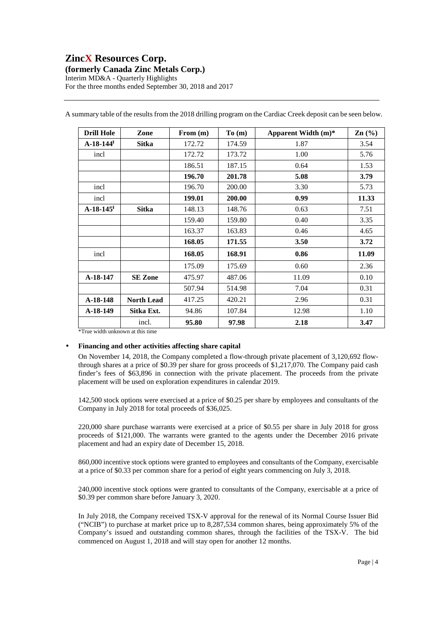## **ZincX Resources Corp. (formerly Canada Zinc Metals Corp.)**  Interim MD&A - Quarterly Highlights

For the three months ended September 30, 2018 and 2017

| <b>Drill Hole</b>       | Zone              | From $(m)$ | To(m)  | Apparent Width $(m)^*$ | $\text{Zn}$ (%) |
|-------------------------|-------------------|------------|--------|------------------------|-----------------|
| $A-18-144$ <sup>H</sup> | <b>Sitka</b>      | 172.72     | 174.59 | 1.87                   | 3.54            |
| incl                    |                   | 172.72     | 173.72 | 1.00                   | 5.76            |
|                         |                   | 186.51     | 187.15 | 0.64                   | 1.53            |
|                         |                   | 196.70     | 201.78 | 5.08                   | 3.79            |
| incl                    |                   | 196.70     | 200.00 | 3.30                   | 5.73            |
| incl                    |                   | 199.01     | 200.00 | 0.99                   | 11.33           |
| $A-18-145$ <sup>t</sup> | <b>Sitka</b>      | 148.13     | 148.76 | 0.63                   | 7.51            |
|                         |                   | 159.40     | 159.80 | 0.40                   | 3.35            |
|                         |                   | 163.37     | 163.83 | 0.46                   | 4.65            |
|                         |                   | 168.05     | 171.55 | 3.50                   | 3.72            |
| incl                    |                   | 168.05     | 168.91 | 0.86                   | 11.09           |
|                         |                   | 175.09     | 175.69 | 0.60                   | 2.36            |
| A-18-147                | <b>SE Zone</b>    | 475.97     | 487.06 | 11.09                  | 0.10            |
|                         |                   | 507.94     | 514.98 | 7.04                   | 0.31            |
| A-18-148                | <b>North Lead</b> | 417.25     | 420.21 | 2.96                   | 0.31            |
| A-18-149                | Sitka Ext.        | 94.86      | 107.84 | 12.98                  | 1.10            |
|                         | incl.             | 95.80      | 97.98  | 2.18                   | 3.47            |

A summary table of the results from the 2018 drilling program on the Cardiac Creek deposit can be seen below.

\*True width unknown at this time

## • **Financing and other activities affecting share capital**

On November 14, 2018, the Company completed a flow-through private placement of 3,120,692 flowthrough shares at a price of \$0.39 per share for gross proceeds of \$1,217,070. The Company paid cash finder's fees of \$63,896 in connection with the private placement. The proceeds from the private placement will be used on exploration expenditures in calendar 2019.

142,500 stock options were exercised at a price of \$0.25 per share by employees and consultants of the Company in July 2018 for total proceeds of \$36,025.

220,000 share purchase warrants were exercised at a price of \$0.55 per share in July 2018 for gross proceeds of \$121,000. The warrants were granted to the agents under the December 2016 private placement and had an expiry date of December 15, 2018.

860,000 incentive stock options were granted to employees and consultants of the Company, exercisable at a price of \$0.33 per common share for a period of eight years commencing on July 3, 2018.

240,000 incentive stock options were granted to consultants of the Company, exercisable at a price of \$0.39 per common share before January 3, 2020.

In July 2018, the Company received TSX-V approval for the renewal of its Normal Course Issuer Bid ("NCIB") to purchase at market price up to 8,287,534 common shares, being approximately 5% of the Company's issued and outstanding common shares, through the facilities of the TSX-V. The bid commenced on August 1, 2018 and will stay open for another 12 months.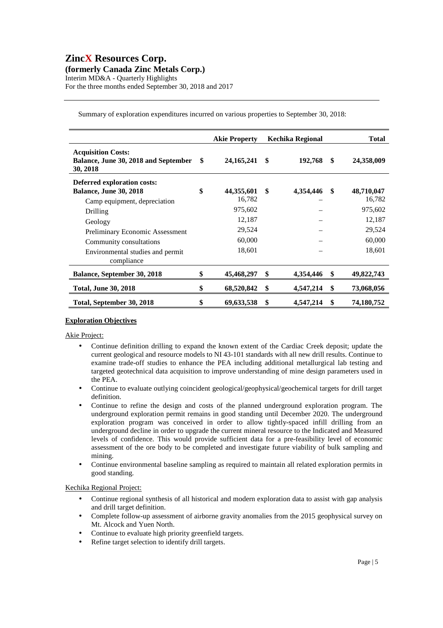## **ZincX Resources Corp. (formerly Canada Zinc Metals Corp.)**  Interim MD&A - Quarterly Highlights For the three months ended September 30, 2018 and 2017

|                                                                                              |     | <b>Akie Property</b> | <b>Kechika Regional</b> |     | <b>Total</b>         |
|----------------------------------------------------------------------------------------------|-----|----------------------|-------------------------|-----|----------------------|
| <b>Acquisition Costs:</b><br>Balance, June 30, 2018 and September<br>30, 2018                | -SS | 24, 165, 241         | \$<br>192,768           | -\$ | 24,358,009           |
| Deferred exploration costs:<br><b>Balance, June 30, 2018</b><br>Camp equipment, depreciation | \$  | 44,355,601<br>16,782 | \$<br>4,354,446         | \$  | 48,710,047<br>16,782 |
| Drilling                                                                                     |     | 975,602              |                         |     | 975,602              |
| Geology                                                                                      |     | 12,187               |                         |     | 12,187               |
| Preliminary Economic Assessment                                                              |     | 29,524               |                         |     | 29,524               |
| Community consultations                                                                      |     | 60,000               |                         |     | 60,000               |
| Environmental studies and permit<br>compliance                                               |     | 18,601               |                         |     | 18,601               |
| Balance, September 30, 2018                                                                  | \$  | 45,468,297           | \$<br>4,354,446         | \$  | 49,822,743           |
| <b>Total, June 30, 2018</b>                                                                  | \$  | 68,520,842           | \$<br>4,547,214         | \$  | 73,068,056           |
| Total, September 30, 2018                                                                    | \$  | 69,633,538           | \$<br>4,547,214         | S   | 74,180,752           |

Summary of exploration expenditures incurred on various properties to September 30, 2018:

## **Exploration Objectives**

Akie Project:

- Continue definition drilling to expand the known extent of the Cardiac Creek deposit; update the current geological and resource models to NI 43-101 standards with all new drill results. Continue to examine trade-off studies to enhance the PEA including additional metallurgical lab testing and targeted geotechnical data acquisition to improve understanding of mine design parameters used in the PEA.
- Continue to evaluate outlying coincident geological/geophysical/geochemical targets for drill target definition.
- Continue to refine the design and costs of the planned underground exploration program. The underground exploration permit remains in good standing until December 2020. The underground exploration program was conceived in order to allow tightly-spaced infill drilling from an underground decline in order to upgrade the current mineral resource to the Indicated and Measured levels of confidence. This would provide sufficient data for a pre-feasibility level of economic assessment of the ore body to be completed and investigate future viability of bulk sampling and mining.
- Continue environmental baseline sampling as required to maintain all related exploration permits in good standing.

## Kechika Regional Project:

- Continue regional synthesis of all historical and modern exploration data to assist with gap analysis and drill target definition.
- Complete follow-up assessment of airborne gravity anomalies from the 2015 geophysical survey on Mt. Alcock and Yuen North.
- Continue to evaluate high priority greenfield targets.
- Refine target selection to identify drill targets.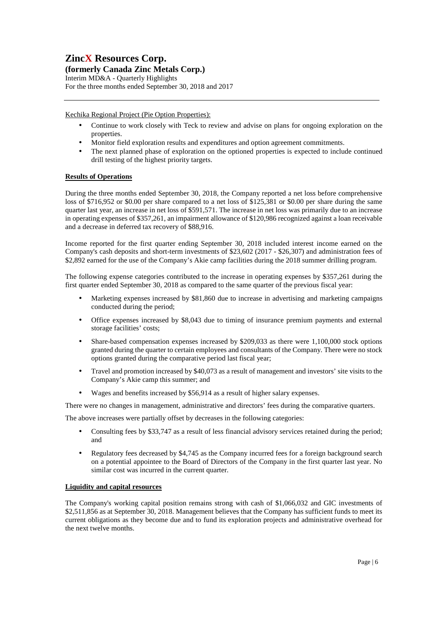# **ZincX Resources Corp.**

## **(formerly Canada Zinc Metals Corp.)**

Interim MD&A - Quarterly Highlights For the three months ended September 30, 2018 and 2017

## Kechika Regional Project (Pie Option Properties):

- Continue to work closely with Teck to review and advise on plans for ongoing exploration on the properties.
- Monitor field exploration results and expenditures and option agreement commitments.
- The next planned phase of exploration on the optioned properties is expected to include continued drill testing of the highest priority targets.

## **Results of Operations**

During the three months ended September 30, 2018, the Company reported a net loss before comprehensive loss of \$716,952 or \$0.00 per share compared to a net loss of \$125,381 or \$0.00 per share during the same quarter last year, an increase in net loss of \$591,571. The increase in net loss was primarily due to an increase in operating expenses of \$357,261, an impairment allowance of \$120,986 recognized against a loan receivable and a decrease in deferred tax recovery of \$88,916.

Income reported for the first quarter ending September 30, 2018 included interest income earned on the Company's cash deposits and short-term investments of \$23,602 (2017 - \$26,307) and administration fees of \$2,892 earned for the use of the Company's Akie camp facilities during the 2018 summer drilling program.

The following expense categories contributed to the increase in operating expenses by \$357,261 during the first quarter ended September 30, 2018 as compared to the same quarter of the previous fiscal year:

- Marketing expenses increased by \$81,860 due to increase in advertising and marketing campaigns conducted during the period;
- Office expenses increased by \$8,043 due to timing of insurance premium payments and external storage facilities' costs;
- Share-based compensation expenses increased by \$209,033 as there were 1,100,000 stock options granted during the quarter to certain employees and consultants of the Company. There were no stock options granted during the comparative period last fiscal year;
- Travel and promotion increased by \$40,073 as a result of management and investors' site visits to the Company's Akie camp this summer; and
- Wages and benefits increased by \$56,914 as a result of higher salary expenses.

There were no changes in management, administrative and directors' fees during the comparative quarters.

The above increases were partially offset by decreases in the following categories:

- Consulting fees by \$33,747 as a result of less financial advisory services retained during the period; and
- Regulatory fees decreased by \$4,745 as the Company incurred fees for a foreign background search on a potential appointee to the Board of Directors of the Company in the first quarter last year. No similar cost was incurred in the current quarter.

## **Liquidity and capital resources**

The Company's working capital position remains strong with cash of \$1,066,032 and GIC investments of \$2,511,856 as at September 30, 2018. Management believes that the Company has sufficient funds to meet its current obligations as they become due and to fund its exploration projects and administrative overhead for the next twelve months.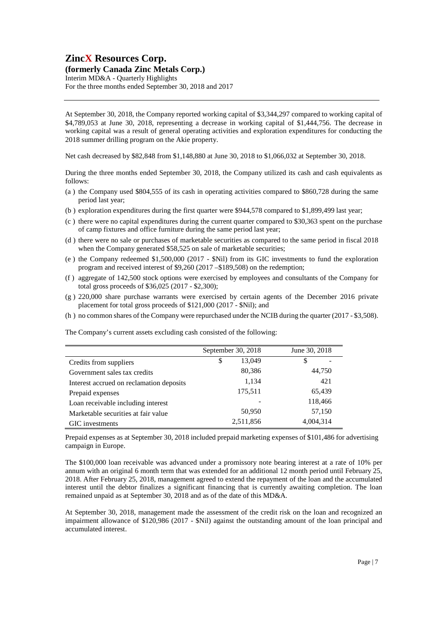# **ZincX Resources Corp.**

## **(formerly Canada Zinc Metals Corp.)**

Interim MD&A - Quarterly Highlights For the three months ended September 30, 2018 and 2017

At September 30, 2018, the Company reported working capital of \$3,344,297 compared to working capital of \$4,789,053 at June 30, 2018, representing a decrease in working capital of \$1,444,756. The decrease in working capital was a result of general operating activities and exploration expenditures for conducting the 2018 summer drilling program on the Akie property.

Net cash decreased by \$82,848 from \$1,148,880 at June 30, 2018 to \$1,066,032 at September 30, 2018.

During the three months ended September 30, 2018, the Company utilized its cash and cash equivalents as follows:

- (a ) the Company used \$804,555 of its cash in operating activities compared to \$860,728 during the same period last year;
- (b ) exploration expenditures during the first quarter were \$944,578 compared to \$1,899,499 last year;
- (c ) there were no capital expenditures during the current quarter compared to \$30,363 spent on the purchase of camp fixtures and office furniture during the same period last year;
- (d ) there were no sale or purchases of marketable securities as compared to the same period in fiscal 2018 when the Company generated \$58,525 on sale of marketable securities;
- (e ) the Company redeemed \$1,500,000 (2017 \$Nil) from its GIC investments to fund the exploration program and received interest of \$9,260 (2017 –\$189,508) on the redemption;
- (f ) aggregate of 142,500 stock options were exercised by employees and consultants of the Company for total gross proceeds of \$36,025 (2017 - \$2,300);
- (g ) 220,000 share purchase warrants were exercised by certain agents of the December 2016 private placement for total gross proceeds of \$121,000 (2017 - \$Nil); and
- (h ) no common shares of the Company were repurchased under the NCIB during the quarter (2017 \$3,508).

The Company's current assets excluding cash consisted of the following:

|                                          | September 30, 2018 | June 30, 2018 |
|------------------------------------------|--------------------|---------------|
| Credits from suppliers                   | 13.049<br>\$       | \$            |
| Government sales tax credits             | 80,386             | 44,750        |
| Interest accrued on reclamation deposits | 1,134              | 421           |
| Prepaid expenses                         | 175,511            | 65,439        |
| Loan receivable including interest       |                    | 118,466       |
| Marketable securities at fair value      | 50,950             | 57,150        |
| GIC investments                          | 2,511,856          | 4,004,314     |

Prepaid expenses as at September 30, 2018 included prepaid marketing expenses of \$101,486 for advertising campaign in Europe.

The \$100,000 loan receivable was advanced under a promissory note bearing interest at a rate of 10% per annum with an original 6 month term that was extended for an additional 12 month period until February 25, 2018. After February 25, 2018, management agreed to extend the repayment of the loan and the accumulated interest until the debtor finalizes a significant financing that is currently awaiting completion. The loan remained unpaid as at September 30, 2018 and as of the date of this MD&A.

At September 30, 2018, management made the assessment of the credit risk on the loan and recognized an impairment allowance of \$120,986 (2017 - \$Nil) against the outstanding amount of the loan principal and accumulated interest.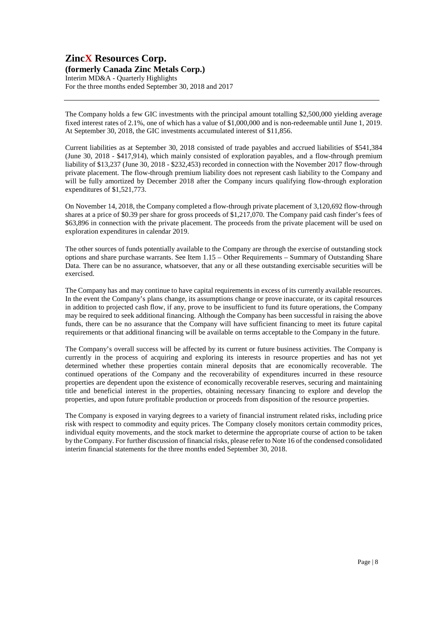## **ZincX Resources Corp. (formerly Canada Zinc Metals Corp.)**  Interim MD&A - Quarterly Highlights For the three months ended September 30, 2018 and 2017

The Company holds a few GIC investments with the principal amount totalling \$2,500,000 yielding average fixed interest rates of 2.1%, one of which has a value of \$1,000,000 and is non-redeemable until June 1, 2019. At September 30, 2018, the GIC investments accumulated interest of \$11,856.

Current liabilities as at September 30, 2018 consisted of trade payables and accrued liabilities of \$541,384 (June 30, 2018 - \$417,914), which mainly consisted of exploration payables, and a flow-through premium liability of \$13,237 (June 30, 2018 - \$232,453) recorded in connection with the November 2017 flow-through private placement. The flow-through premium liability does not represent cash liability to the Company and will be fully amortized by December 2018 after the Company incurs qualifying flow-through exploration expenditures of \$1,521,773.

On November 14, 2018, the Company completed a flow-through private placement of 3,120,692 flow-through shares at a price of \$0.39 per share for gross proceeds of \$1,217,070. The Company paid cash finder's fees of \$63,896 in connection with the private placement. The proceeds from the private placement will be used on exploration expenditures in calendar 2019.

The other sources of funds potentially available to the Company are through the exercise of outstanding stock options and share purchase warrants. See Item 1.15 – Other Requirements – Summary of Outstanding Share Data. There can be no assurance, whatsoever, that any or all these outstanding exercisable securities will be exercised.

The Company has and may continue to have capital requirements in excess of its currently available resources. In the event the Company's plans change, its assumptions change or prove inaccurate, or its capital resources in addition to projected cash flow, if any, prove to be insufficient to fund its future operations, the Company may be required to seek additional financing. Although the Company has been successful in raising the above funds, there can be no assurance that the Company will have sufficient financing to meet its future capital requirements or that additional financing will be available on terms acceptable to the Company in the future.

The Company's overall success will be affected by its current or future business activities. The Company is currently in the process of acquiring and exploring its interests in resource properties and has not yet determined whether these properties contain mineral deposits that are economically recoverable. The continued operations of the Company and the recoverability of expenditures incurred in these resource properties are dependent upon the existence of economically recoverable reserves, securing and maintaining title and beneficial interest in the properties, obtaining necessary financing to explore and develop the properties, and upon future profitable production or proceeds from disposition of the resource properties.

The Company is exposed in varying degrees to a variety of financial instrument related risks, including price risk with respect to commodity and equity prices. The Company closely monitors certain commodity prices, individual equity movements, and the stock market to determine the appropriate course of action to be taken by the Company. For further discussion of financial risks, please refer to Note 16 of the condensed consolidated interim financial statements for the three months ended September 30, 2018.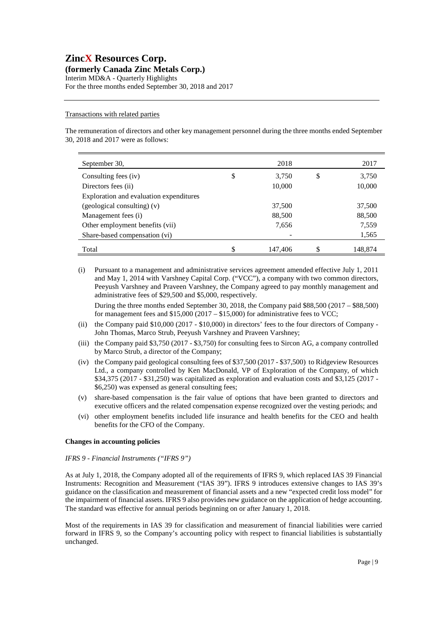#### Transactions with related parties

The remuneration of directors and other key management personnel during the three months ended September 30, 2018 and 2017 were as follows:

| September 30,                           | 2018          | 2017          |
|-----------------------------------------|---------------|---------------|
| Consulting fees (iv)                    | \$<br>3,750   | \$<br>3,750   |
| Directors fees (ii)                     | 10,000        | 10,000        |
| Exploration and evaluation expenditures |               |               |
| (geological consulting) (v)             | 37,500        | 37,500        |
| Management fees (i)                     | 88,500        | 88,500        |
| Other employment benefits (vii)         | 7,656         | 7,559         |
| Share-based compensation (vi)           |               | 1,565         |
| Total                                   | \$<br>147,406 | \$<br>148,874 |

(i) Pursuant to a management and administrative services agreement amended effective July 1, 2011 and May 1, 2014 with Varshney Capital Corp. ("VCC"), a company with two common directors, Peeyush Varshney and Praveen Varshney, the Company agreed to pay monthly management and administrative fees of \$29,500 and \$5,000, respectively.

During the three months ended September 30, 2018, the Company paid \$88,500 (2017 – \$88,500) for management fees and  $$15,000 (2017 - $15,000)$  for administrative fees to VCC;

- (ii) the Company paid \$10,000 (2017 \$10,000) in directors' fees to the four directors of Company John Thomas, Marco Strub, Peeyush Varshney and Praveen Varshney;
- (iii) the Company paid \$3,750 (2017 \$3,750) for consulting fees to Sircon AG, a company controlled by Marco Strub, a director of the Company;
- (iv) the Company paid geological consulting fees of \$37,500 (2017 \$37,500) to Ridgeview Resources Ltd., a company controlled by Ken MacDonald, VP of Exploration of the Company, of which \$34,375 (2017 - \$31,250) was capitalized as exploration and evaluation costs and \$3,125 (2017 - \$6,250) was expensed as general consulting fees;
- (v) share-based compensation is the fair value of options that have been granted to directors and executive officers and the related compensation expense recognized over the vesting periods; and
- (vi) other employment benefits included life insurance and health benefits for the CEO and health benefits for the CFO of the Company.

#### **Changes in accounting policies**

#### *IFRS 9 - Financial Instruments ("IFRS 9")*

As at July 1, 2018, the Company adopted all of the requirements of IFRS 9, which replaced IAS 39 Financial Instruments: Recognition and Measurement ("IAS 39"). IFRS 9 introduces extensive changes to IAS 39's guidance on the classification and measurement of financial assets and a new "expected credit loss model" for the impairment of financial assets. IFRS 9 also provides new guidance on the application of hedge accounting. The standard was effective for annual periods beginning on or after January 1, 2018.

Most of the requirements in IAS 39 for classification and measurement of financial liabilities were carried forward in IFRS 9, so the Company's accounting policy with respect to financial liabilities is substantially unchanged.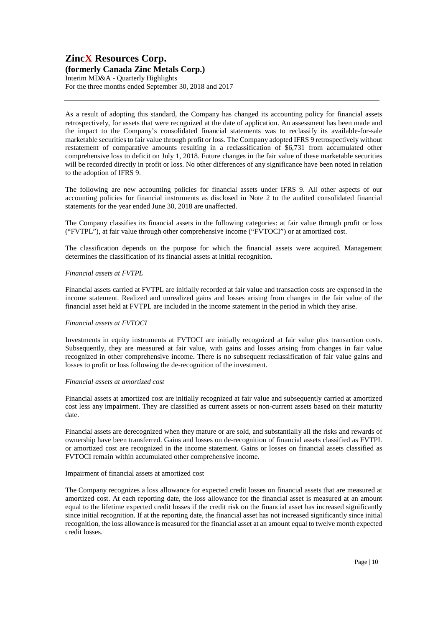# Interim MD&A - Quarterly Highlights

For the three months ended September 30, 2018 and 2017

As a result of adopting this standard, the Company has changed its accounting policy for financial assets retrospectively, for assets that were recognized at the date of application. An assessment has been made and the impact to the Company's consolidated financial statements was to reclassify its available-for-sale marketable securities to fair value through profit or loss. The Company adopted IFRS 9 retrospectively without restatement of comparative amounts resulting in a reclassification of \$6,731 from accumulated other comprehensive loss to deficit on July 1, 2018. Future changes in the fair value of these marketable securities will be recorded directly in profit or loss. No other differences of any significance have been noted in relation to the adoption of IFRS 9.

The following are new accounting policies for financial assets under IFRS 9. All other aspects of our accounting policies for financial instruments as disclosed in Note 2 to the audited consolidated financial statements for the year ended June 30, 2018 are unaffected.

The Company classifies its financial assets in the following categories: at fair value through profit or loss ("FVTPL"), at fair value through other comprehensive income ("FVTOCI") or at amortized cost.

The classification depends on the purpose for which the financial assets were acquired. Management determines the classification of its financial assets at initial recognition.

## *Financial assets at FVTPL*

Financial assets carried at FVTPL are initially recorded at fair value and transaction costs are expensed in the income statement. Realized and unrealized gains and losses arising from changes in the fair value of the financial asset held at FVTPL are included in the income statement in the period in which they arise.

## *Financial assets at FVTOCI*

Investments in equity instruments at FVTOCI are initially recognized at fair value plus transaction costs. Subsequently, they are measured at fair value, with gains and losses arising from changes in fair value recognized in other comprehensive income. There is no subsequent reclassification of fair value gains and losses to profit or loss following the de-recognition of the investment.

## *Financial assets at amortized cost*

Financial assets at amortized cost are initially recognized at fair value and subsequently carried at amortized cost less any impairment. They are classified as current assets or non-current assets based on their maturity date.

Financial assets are derecognized when they mature or are sold, and substantially all the risks and rewards of ownership have been transferred. Gains and losses on de-recognition of financial assets classified as FVTPL or amortized cost are recognized in the income statement. Gains or losses on financial assets classified as FVTOCI remain within accumulated other comprehensive income.

## Impairment of financial assets at amortized cost

The Company recognizes a loss allowance for expected credit losses on financial assets that are measured at amortized cost. At each reporting date, the loss allowance for the financial asset is measured at an amount equal to the lifetime expected credit losses if the credit risk on the financial asset has increased significantly since initial recognition. If at the reporting date, the financial asset has not increased significantly since initial recognition, the loss allowance is measured for the financial asset at an amount equal to twelve month expected credit losses.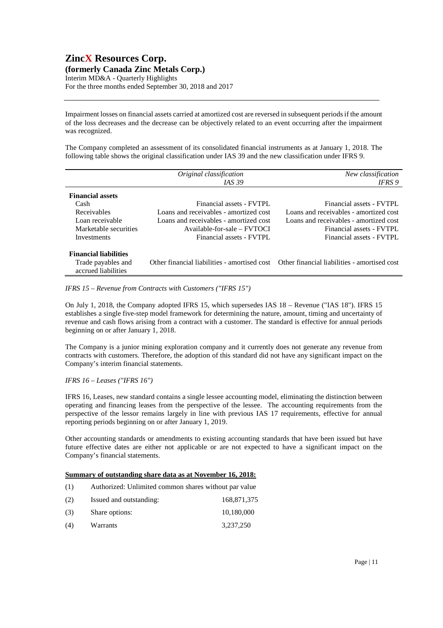## **ZincX Resources Corp. (formerly Canada Zinc Metals Corp.)**  Interim MD&A - Quarterly Highlights For the three months ended September 30, 2018 and 2017

Impairment losses on financial assets carried at amortized cost are reversed in subsequent periods if the amount of the loss decreases and the decrease can be objectively related to an event occurring after the impairment was recognized.

The Company completed an assessment of its consolidated financial instruments as at January 1, 2018. The following table shows the original classification under IAS 39 and the new classification under IFRS 9.

|                                           | Original classification                | New classification                                                                        |
|-------------------------------------------|----------------------------------------|-------------------------------------------------------------------------------------------|
|                                           | <i>IAS</i> 39                          | <b>IFRS</b> 9                                                                             |
| <b>Financial assets</b>                   |                                        |                                                                                           |
| Cash                                      | Financial assets - FVTPL               | Financial assets - FVTPL                                                                  |
| Receivables                               | Loans and receivables - amortized cost | Loans and receivables - amortized cost                                                    |
| Loan receivable                           | Loans and receivables - amortized cost | Loans and receivables - amortized cost                                                    |
| Marketable securities                     | $A$ vailable-for-sale – $FVTOCI$       | Financial assets - FVTPL                                                                  |
| Investments                               | Financial assets - FVTPL               | Financial assets - FVTPL                                                                  |
| <b>Financial liabilities</b>              |                                        |                                                                                           |
| Trade payables and<br>accrued liabilities |                                        | Other financial liabilities - amortised cost Other financial liabilities - amortised cost |

#### *IFRS 15 – Revenue from Contracts with Customers ("IFRS 15")*

On July 1, 2018, the Company adopted IFRS 15, which supersedes IAS 18 – Revenue ("IAS 18"). IFRS 15 establishes a single five-step model framework for determining the nature, amount, timing and uncertainty of revenue and cash flows arising from a contract with a customer. The standard is effective for annual periods beginning on or after January 1, 2018.

The Company is a junior mining exploration company and it currently does not generate any revenue from contracts with customers. Therefore, the adoption of this standard did not have any significant impact on the Company's interim financial statements.

## *IFRS 16 – Leases ("IFRS 16")*

IFRS 16, Leases, new standard contains a single lessee accounting model, eliminating the distinction between operating and financing leases from the perspective of the lessee. The accounting requirements from the perspective of the lessor remains largely in line with previous IAS 17 requirements, effective for annual reporting periods beginning on or after January 1, 2019.

Other accounting standards or amendments to existing accounting standards that have been issued but have future effective dates are either not applicable or are not expected to have a significant impact on the Company's financial statements.

#### **Summary of outstanding share data as at November 16, 2018:**

| (1) | Authorized: Unlimited common shares without par value |             |
|-----|-------------------------------------------------------|-------------|
| (2) | Issued and outstanding:                               | 168,871,375 |
| (3) | Share options:                                        | 10,180,000  |
| (4) | Warrants                                              | 3.237.250   |